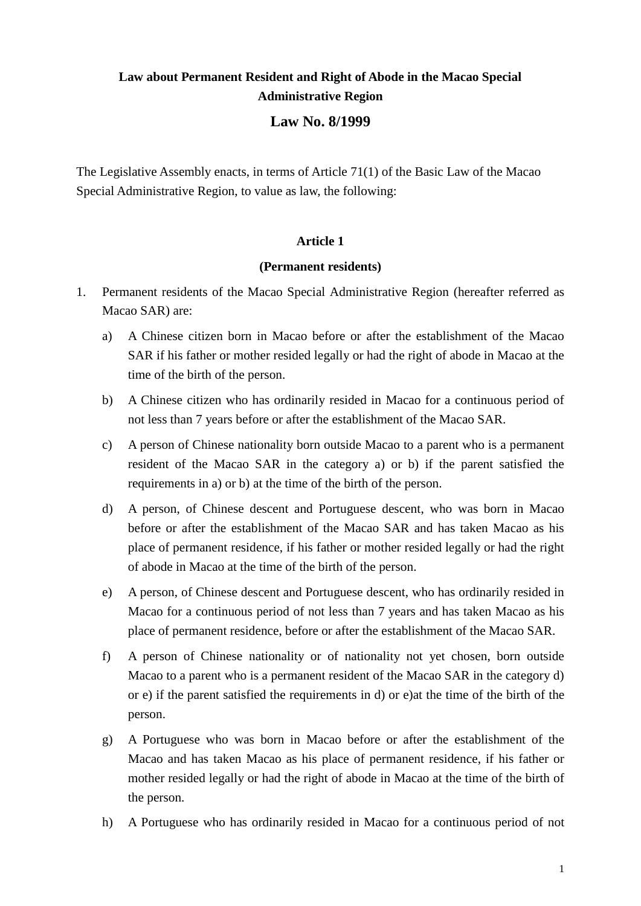# **Law about Permanent Resident and Right of Abode in the Macao Special Administrative Region**

# **Law No. 8/1999**

The Legislative Assembly enacts, in terms of Article 71(1) of the Basic Law of the Macao Special Administrative Region, to value as law, the following:

## **Article 1**

## **(Permanent residents)**

- 1. Permanent residents of the Macao Special Administrative Region (hereafter referred as Macao SAR) are:
	- a) A Chinese citizen born in Macao before or after the establishment of the Macao SAR if his father or mother resided legally or had the right of abode in Macao at the time of the birth of the person.
	- b) A Chinese citizen who has ordinarily resided in Macao for a continuous period of not less than 7 years before or after the establishment of the Macao SAR.
	- c) A person of Chinese nationality born outside Macao to a parent who is a permanent resident of the Macao SAR in the category a) or b) if the parent satisfied the requirements in a) or b) at the time of the birth of the person.
	- d) A person, of Chinese descent and Portuguese descent, who was born in Macao before or after the establishment of the Macao SAR and has taken Macao as his place of permanent residence, if his father or mother resided legally or had the right of abode in Macao at the time of the birth of the person.
	- e) A person, of Chinese descent and Portuguese descent, who has ordinarily resided in Macao for a continuous period of not less than 7 years and has taken Macao as his place of permanent residence, before or after the establishment of the Macao SAR.
	- f) A person of Chinese nationality or of nationality not yet chosen, born outside Macao to a parent who is a permanent resident of the Macao SAR in the category d) or e) if the parent satisfied the requirements in d) or e)at the time of the birth of the person.
	- g) A Portuguese who was born in Macao before or after the establishment of the Macao and has taken Macao as his place of permanent residence, if his father or mother resided legally or had the right of abode in Macao at the time of the birth of the person.
	- h) A Portuguese who has ordinarily resided in Macao for a continuous period of not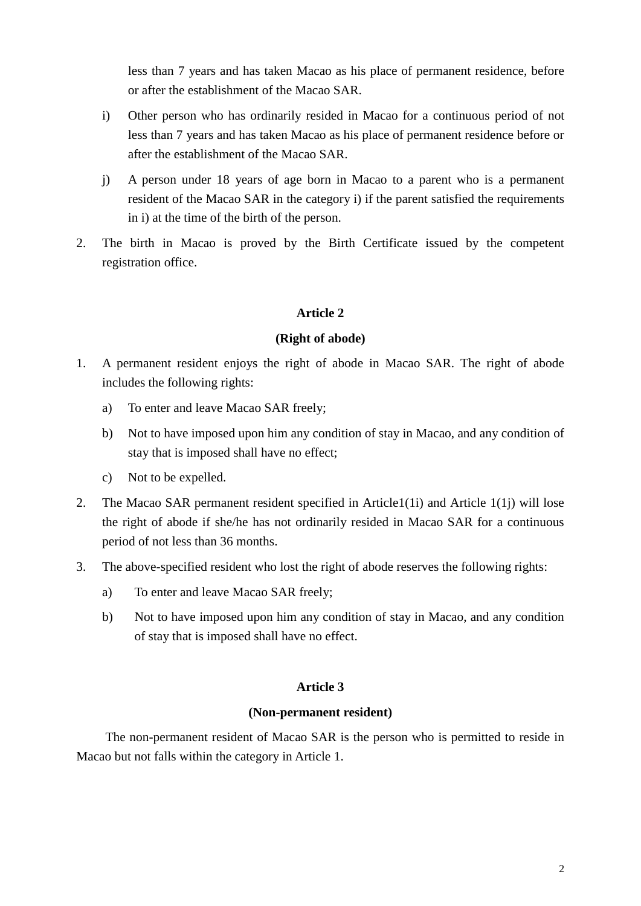less than 7 years and has taken Macao as his place of permanent residence, before or after the establishment of the Macao SAR.

- i) Other person who has ordinarily resided in Macao for a continuous period of not less than 7 years and has taken Macao as his place of permanent residence before or after the establishment of the Macao SAR.
- j) A person under 18 years of age born in Macao to a parent who is a permanent resident of the Macao SAR in the category i) if the parent satisfied the requirements in i) at the time of the birth of the person.
- 2. The birth in Macao is proved by the Birth Certificate issued by the competent registration office.

## **Article 2**

#### **(Right of abode)**

- 1. A permanent resident enjoys the right of abode in Macao SAR. The right of abode includes the following rights:
	- a) To enter and leave Macao SAR freely;
	- b) Not to have imposed upon him any condition of stay in Macao, and any condition of stay that is imposed shall have no effect;
	- c) Not to be expelled.
- 2. The Macao SAR permanent resident specified in Article1(1i) and Article 1(1) will lose the right of abode if she/he has not ordinarily resided in Macao SAR for a continuous period of not less than 36 months.
- 3. The above-specified resident who lost the right of abode reserves the following rights:
	- a) To enter and leave Macao SAR freely;
	- b) Not to have imposed upon him any condition of stay in Macao, and any condition of stay that is imposed shall have no effect.

## **Article 3**

#### **(Non-permanent resident)**

The non-permanent resident of Macao SAR is the person who is permitted to reside in Macao but not falls within the category in Article 1.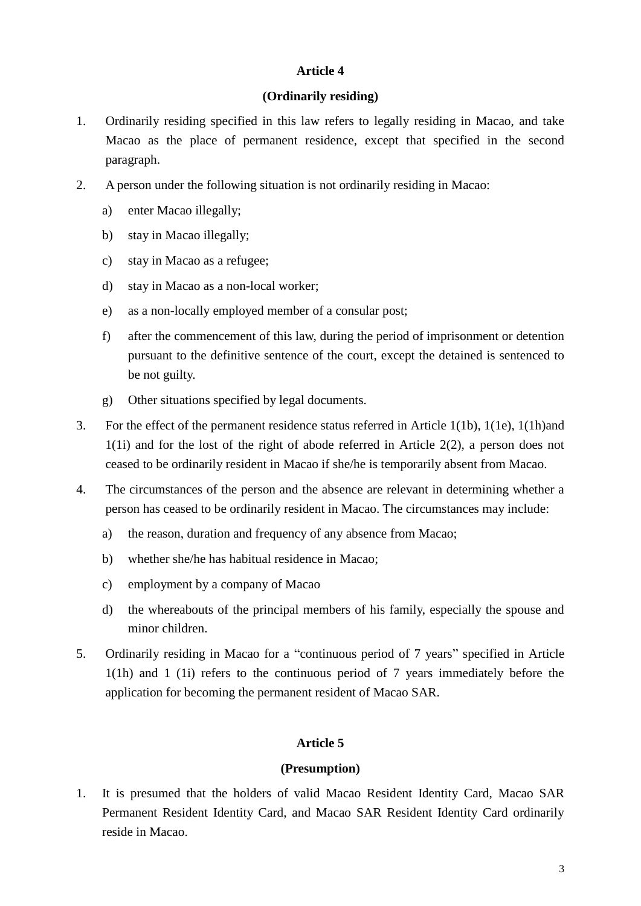## **Article 4**

## **(Ordinarily residing)**

- 1. Ordinarily residing specified in this law refers to legally residing in Macao, and take Macao as the place of permanent residence, except that specified in the second paragraph.
- 2. A person under the following situation is not ordinarily residing in Macao:
	- a) enter Macao illegally;
	- b) stay in Macao illegally;
	- c) stay in Macao as a refugee;
	- d) stay in Macao as a non-local worker;
	- e) as a non-locally employed member of a consular post;
	- f) after the commencement of this law, during the period of imprisonment or detention pursuant to the definitive sentence of the court, except the detained is sentenced to be not guilty.
	- g) Other situations specified by legal documents.
- 3. For the effect of the permanent residence status referred in Article 1(1b), 1(1e), 1(1h)and 1(1i) and for the lost of the right of abode referred in Article 2(2), a person does not ceased to be ordinarily resident in Macao if she/he is temporarily absent from Macao.
- 4. The circumstances of the person and the absence are relevant in determining whether a person has ceased to be ordinarily resident in Macao. The circumstances may include:
	- a) the reason, duration and frequency of any absence from Macao;
	- b) whether she/he has habitual residence in Macao;
	- c) employment by a company of Macao
	- d) the whereabouts of the principal members of his family, especially the spouse and minor children.
- 5. Ordinarily residing in Macao for a "continuous period of 7 years" specified in Article 1(1h) and 1 (1i) refers to the continuous period of 7 years immediately before the application for becoming the permanent resident of Macao SAR.

# **Article 5**

# **(Presumption)**

1. It is presumed that the holders of valid Macao Resident Identity Card, Macao SAR Permanent Resident Identity Card, and Macao SAR Resident Identity Card ordinarily reside in Macao.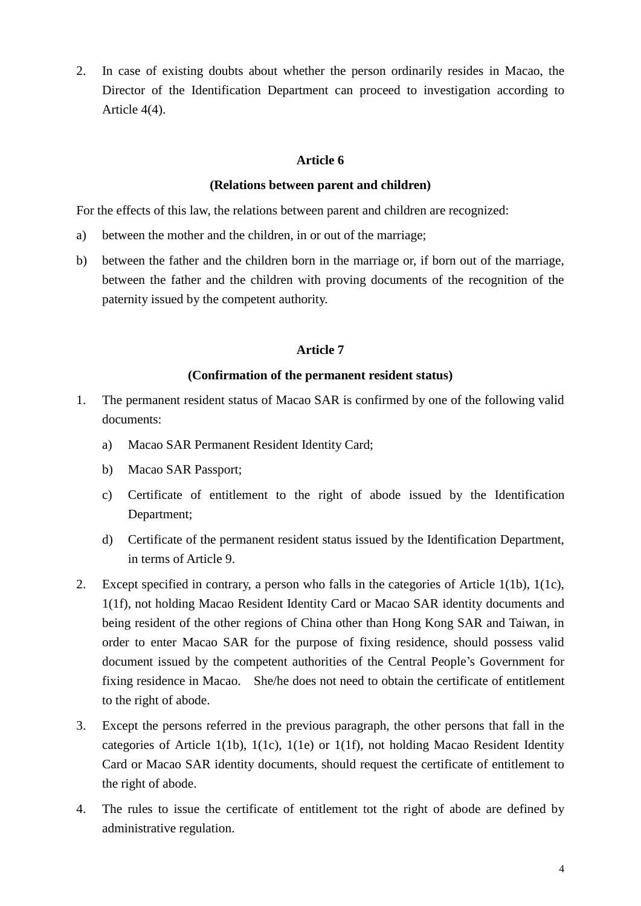2. In case of existing doubts about whether the person ordinarily resides in Macao, the Director of the Identification Department can proceed to investigation according to Article 4(4).

## **Article 6**

#### **(Relations between parent and children)**

For the effects of this law, the relations between parent and children are recognized:

- a) between the mother and the children, in or out of the marriage;
- b) between the father and the children born in the marriage or, if born out of the marriage, between the father and the children with proving documents of the recognition of the paternity issued by the competent authority.

#### **Article 7**

#### **(Confirmation of the permanent resident status)**

- 1. The permanent resident status of Macao SAR is confirmed by one of the following valid documents:
	- a) Macao SAR Permanent Resident Identity Card;
	- b) Macao SAR Passport;
	- c) Certificate of entitlement to the right of abode issued by the Identification Department;
	- d) Certificate of the permanent resident status issued by the Identification Department, in terms of Article 9.
- 2. Except specified in contrary, a person who falls in the categories of Article 1(1b), 1(1c), 1(1f), not holding Macao Resident Identity Card or Macao SAR identity documents and being resident of the other regions of China other than Hong Kong SAR and Taiwan, in order to enter Macao SAR for the purpose of fixing residence, should possess valid document issued by the competent authorities of the Central People's Government for fixing residence in Macao. She/he does not need to obtain the certificate of entitlement to the right of abode.
- 3. Except the persons referred in the previous paragraph, the other persons that fall in the categories of Article 1(1b), 1(1c), 1(1e) or 1(1f), not holding Macao Resident Identity Card or Macao SAR identity documents, should request the certificate of entitlement to the right of abode.
- 4. The rules to issue the certificate of entitlement tot the right of abode are defined by administrative regulation.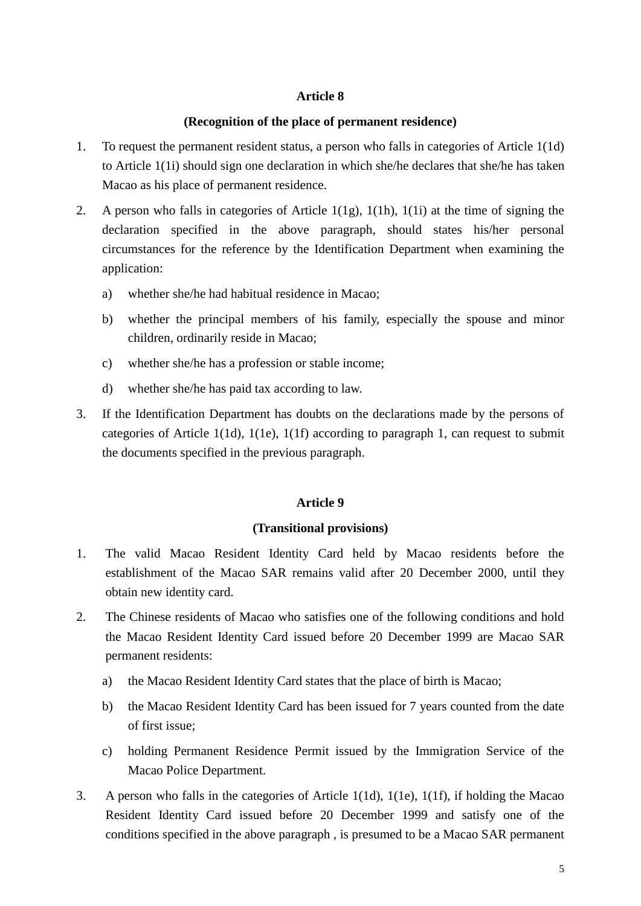## **Article 8**

#### **(Recognition of the place of permanent residence)**

- 1. To request the permanent resident status, a person who falls in categories of Article 1(1d) to Article 1(1i) should sign one declaration in which she/he declares that she/he has taken Macao as his place of permanent residence.
- 2. A person who falls in categories of Article 1(1g), 1(1h), 1(1i) at the time of signing the declaration specified in the above paragraph, should states his/her personal circumstances for the reference by the Identification Department when examining the application:
	- a) whether she/he had habitual residence in Macao;
	- b) whether the principal members of his family, especially the spouse and minor children, ordinarily reside in Macao;
	- c) whether she/he has a profession or stable income;
	- d) whether she/he has paid tax according to law.
- 3. If the Identification Department has doubts on the declarations made by the persons of categories of Article 1(1d), 1(1e), 1(1f) according to paragraph 1, can request to submit the documents specified in the previous paragraph.

## **Article 9**

#### **(Transitional provisions)**

- 1. The valid Macao Resident Identity Card held by Macao residents before the establishment of the Macao SAR remains valid after 20 December 2000, until they obtain new identity card.
- 2. The Chinese residents of Macao who satisfies one of the following conditions and hold the Macao Resident Identity Card issued before 20 December 1999 are Macao SAR permanent residents:
	- a) the Macao Resident Identity Card states that the place of birth is Macao;
	- b) the Macao Resident Identity Card has been issued for 7 years counted from the date of first issue;
	- c) holding Permanent Residence Permit issued by the Immigration Service of the Macao Police Department.
- 3. A person who falls in the categories of Article 1(1d), 1(1e), 1(1f), if holding the Macao Resident Identity Card issued before 20 December 1999 and satisfy one of the conditions specified in the above paragraph , is presumed to be a Macao SAR permanent